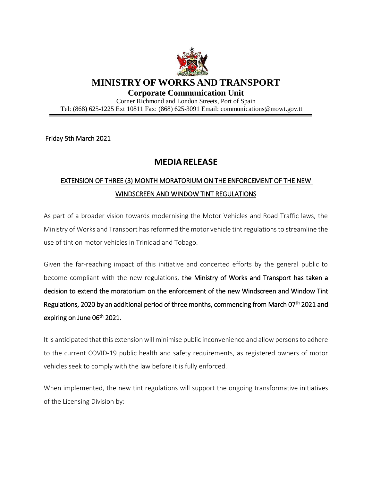

**MINISTRY OF WORKS AND TRANSPORT**

**Corporate Communication Unit**

Corner Richmond and London Streets, Port of Spain Tel: (868) 625-1225 Ext 10811 Fax: (868) 625-3091 Email: [communications@mowt.gov.tt](mailto:communications@mowt.gov.tt)

Friday 5th March 2021

## **MEDIARELEASE**

## EXTENSION OF THREE (3) MONTH MORATORIUM ON THE ENFORCEMENT OF THE NEW WINDSCREEN AND WINDOW TINT REGULATIONS

As part of a broader vision towards modernising the Motor Vehicles and Road Traffic laws, the Ministry of Works and Transport has reformed the motor vehicle tint regulations to streamline the use of tint on motor vehicles in Trinidad and Tobago.

Given the far-reaching impact of this initiative and concerted efforts by the general public to become compliant with the new regulations, the Ministry of Works and Transport has taken a decision to extend the moratorium on the enforcement of the new Windscreen and Window Tint Regulations, 2020 by an additional period of three months, commencing from March 07<sup>th</sup> 2021 and expiring on June 06<sup>th</sup> 2021.

It is anticipated that this extension will minimise public inconvenience and allow persons to adhere to the current COVID-19 public health and safety requirements, as registered owners of motor vehicles seek to comply with the law before it is fully enforced.

When implemented, the new tint regulations will support the ongoing transformative initiatives of the Licensing Division by: